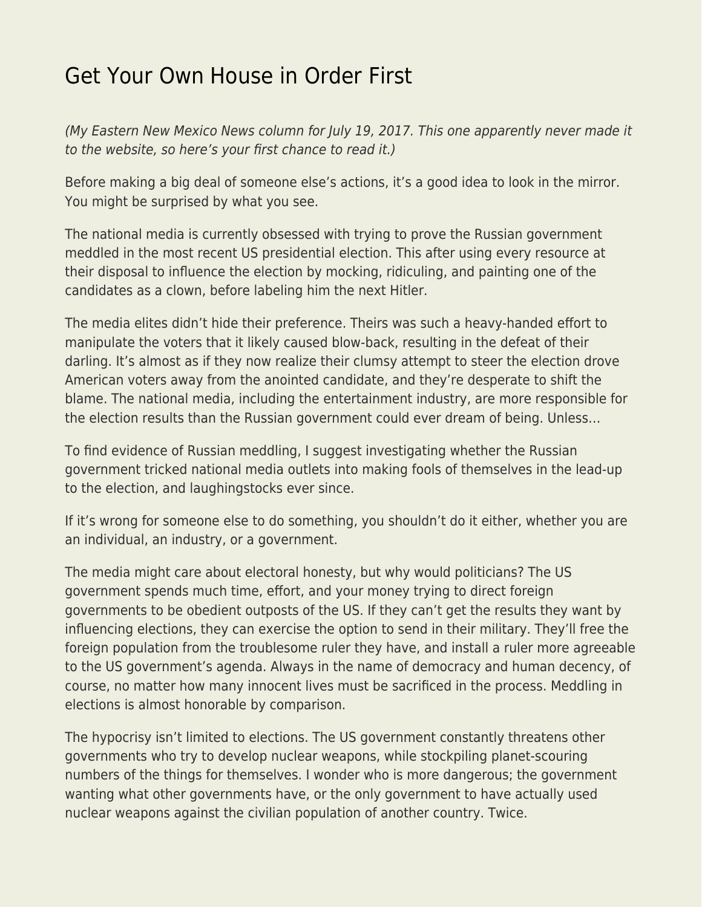## [Get Your Own House in Order First](https://everything-voluntary.com/get-house-order-first)

(My Eastern New Mexico News column for July 19, 2017. This one apparently never made it to the website, so here's your first chance to read it.)

Before making a big deal of someone else's actions, it's a good idea to look in the mirror. You might be surprised by what you see.

The national media is currently obsessed with trying to prove the Russian government meddled in the most recent US presidential election. This after using every resource at their disposal to influence the election by mocking, ridiculing, and painting one of the candidates as a clown, before labeling him the next Hitler.

The media elites didn't hide their preference. Theirs was such a heavy-handed effort to manipulate the voters that it likely caused blow-back, resulting in the defeat of their darling. It's almost as if they now realize their clumsy attempt to steer the election drove American voters away from the anointed candidate, and they're desperate to shift the blame. The national media, including the entertainment industry, are more responsible for the election results than the Russian government could ever dream of being. Unless…

To find evidence of Russian meddling, I suggest investigating whether the Russian government tricked national media outlets into making fools of themselves in the lead-up to the election, and laughingstocks ever since.

If it's wrong for someone else to do something, you shouldn't do it either, whether you are an individual, an industry, or a government.

The media might care about electoral honesty, but why would politicians? The US government spends much time, effort, and your money trying to direct foreign governments to be obedient outposts of the US. If they can't get the results they want by influencing elections, they can exercise the option to send in their military. They'll free the foreign population from the troublesome ruler they have, and install a ruler more agreeable to the US government's agenda. Always in the name of democracy and human decency, of course, no matter how many innocent lives must be sacrificed in the process. Meddling in elections is almost honorable by comparison.

The hypocrisy isn't limited to elections. The US government constantly threatens other governments who try to develop nuclear weapons, while stockpiling planet-scouring numbers of the things for themselves. I wonder who is more dangerous; the government wanting what other governments have, or the only government to have actually used nuclear weapons against the civilian population of another country. Twice.